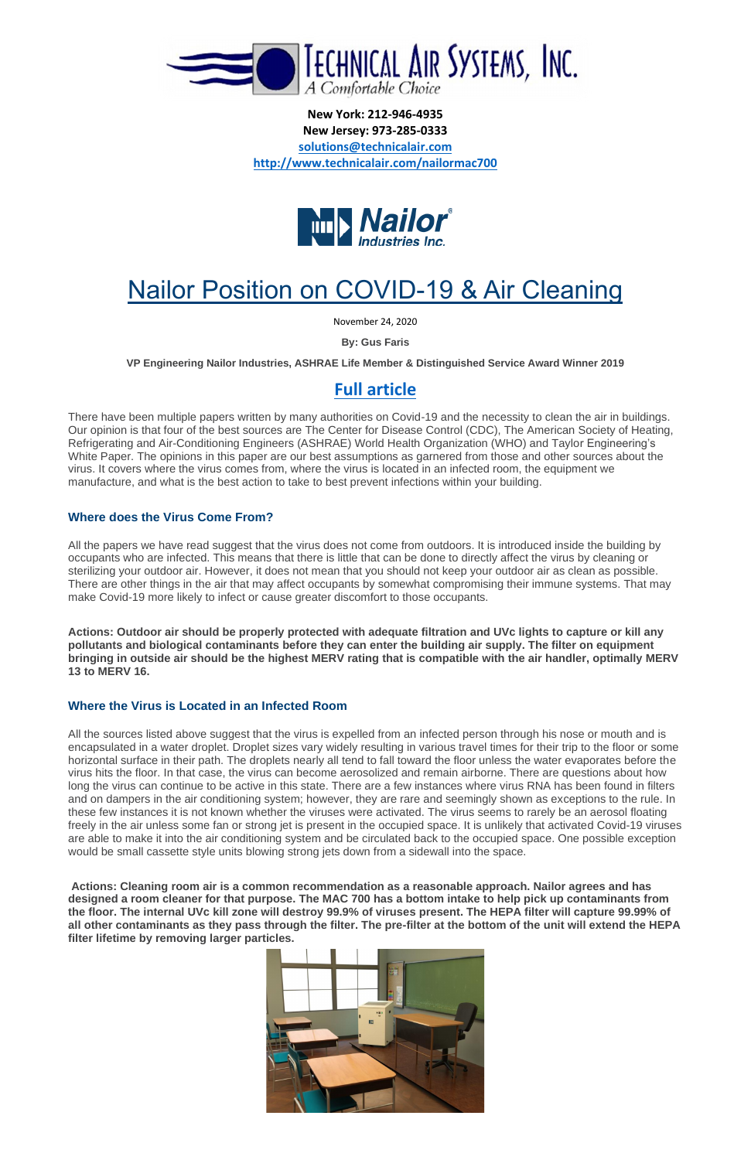

**New York: 212-946-4935 New Jersey: 973-285-0333 [solutions@technicalair.com](mailto:solutions@technicalair.com) <http://www.technicalair.com/nailormac700>**



# Nailor Position on COVID-19 & Air Cleaning

November 24, 2020

**By: Gus Faris**

**VP Engineering Nailor Industries, ASHRAE Life Member & Distinguished Service Award Winner 2019**

# **[Full article](https://nailor.com/corporate/news/nailor-position-covid-19-air-cleaning)**

There have been multiple papers written by many authorities on Covid-19 and the necessity to clean the air in buildings. Our opinion is that four of the best sources are The Center for Disease Control (CDC), The American Society of Heating, Refrigerating and Air-Conditioning Engineers (ASHRAE) World Health Organization (WHO) and Taylor Engineering's White Paper. The opinions in this paper are our best assumptions as garnered from those and other sources about the virus. It covers where the virus comes from, where the virus is located in an infected room, the equipment we manufacture, and what is the best action to take to best prevent infections within your building.

## **Where does the Virus Come From?**

All the papers we have read suggest that the virus does not come from outdoors. It is introduced inside the building by occupants who are infected. This means that there is little that can be done to directly affect the virus by cleaning or sterilizing your outdoor air. However, it does not mean that you should not keep your outdoor air as clean as possible. There are other things in the air that may affect occupants by somewhat compromising their immune systems. That may make Covid-19 more likely to infect or cause greater discomfort to those occupants.

**Actions: Outdoor air should be properly protected with adequate filtration and UVc lights to capture or kill any pollutants and biological contaminants before they can enter the building air supply. The filter on equipment bringing in outside air should be the highest MERV rating that is compatible with the air handler, optimally MERV 13 to MERV 16.**

## **Where the Virus is Located in an Infected Room**

All the sources listed above suggest that the virus is expelled from an infected person through his nose or mouth and is encapsulated in a water droplet. Droplet sizes vary widely resulting in various travel times for their trip to the floor or some horizontal surface in their path. The droplets nearly all tend to fall toward the floor unless the water evaporates before the virus hits the floor. In that case, the virus can become aerosolized and remain airborne. There are questions about how long the virus can continue to be active in this state. There are a few instances where virus RNA has been found in filters and on dampers in the air conditioning system; however, they are rare and seemingly shown as exceptions to the rule. In these few instances it is not known whether the viruses were activated. The virus seems to rarely be an aerosol floating freely in the air unless some fan or strong jet is present in the occupied space. It is unlikely that activated Covid-19 viruses are able to make it into the air conditioning system and be circulated back to the occupied space. One possible exception would be small cassette style units blowing strong jets down from a sidewall into the space.

**Actions: Cleaning room air is a common recommendation as a reasonable approach. Nailor agrees and has designed a room cleaner for that purpose. The MAC 700 has a bottom intake to help pick up contaminants from the floor. The internal UVc kill zone will destroy 99.9% of viruses present. The HEPA filter will capture 99.99% of all other contaminants as they pass through the filter. The pre-filter at the bottom of the unit will extend the HEPA filter lifetime by removing larger particles.**

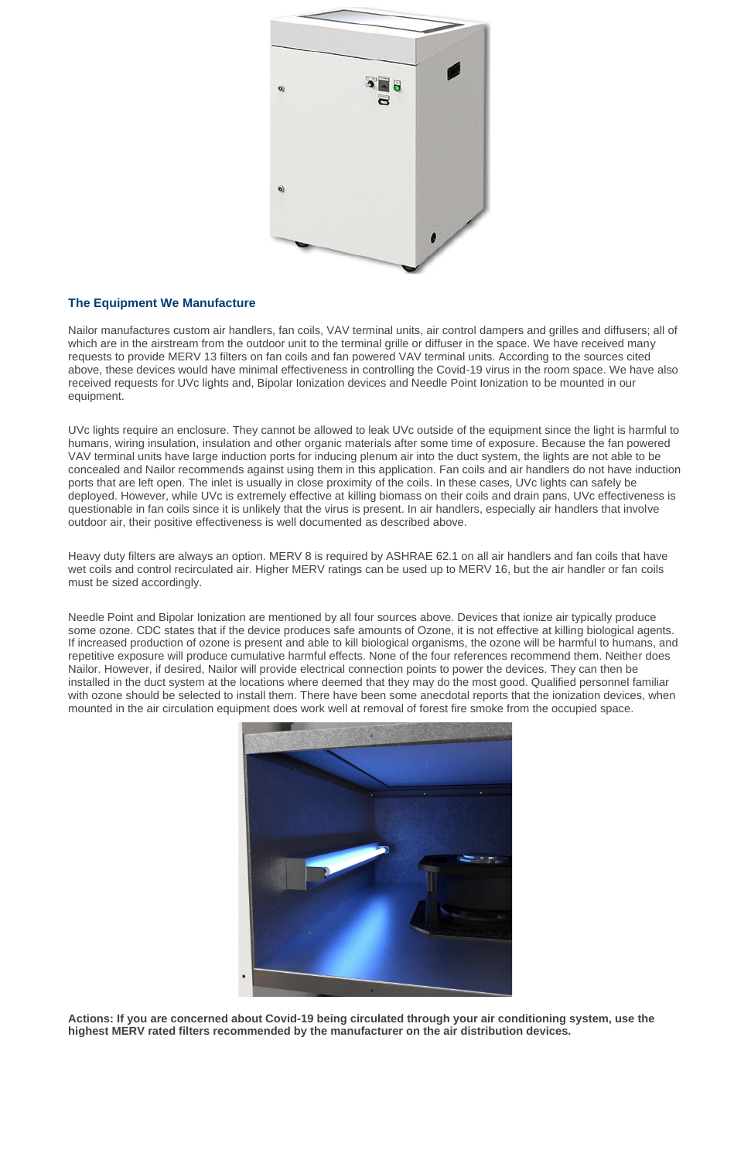

## **The Equipment We Manufacture**

Nailor manufactures custom air handlers, fan coils, VAV terminal units, air control dampers and grilles and diffusers; all of which are in the airstream from the outdoor unit to the terminal grille or diffuser in the space. We have received many requests to provide MERV 13 filters on fan coils and fan powered VAV terminal units. According to the sources cited above, these devices would have minimal effectiveness in controlling the Covid-19 virus in the room space. We have also received requests for UVc lights and, Bipolar Ionization devices and Needle Point Ionization to be mounted in our equipment.

UVc lights require an enclosure. They cannot be allowed to leak UVc outside of the equipment since the light is harmful to humans, wiring insulation, insulation and other organic materials after some time of exposure. Because the fan powered VAV terminal units have large induction ports for inducing plenum air into the duct system, the lights are not able to be concealed and Nailor recommends against using them in this application. Fan coils and air handlers do not have induction ports that are left open. The inlet is usually in close proximity of the coils. In these cases, UVc lights can safely be deployed. However, while UVc is extremely effective at killing biomass on their coils and drain pans, UVc effectiveness is questionable in fan coils since it is unlikely that the virus is present. In air handlers, especially air handlers that involve outdoor air, their positive effectiveness is well documented as described above.

Heavy duty filters are always an option. MERV 8 is required by ASHRAE 62.1 on all air handlers and fan coils that have wet coils and control recirculated air. Higher MERV ratings can be used up to MERV 16, but the air handler or fan coils must be sized accordingly.

Needle Point and Bipolar Ionization are mentioned by all four sources above. Devices that ionize air typically produce some ozone. CDC states that if the device produces safe amounts of Ozone, it is not effective at killing biological agents. If increased production of ozone is present and able to kill biological organisms, the ozone will be harmful to humans, and repetitive exposure will produce cumulative harmful effects. None of the four references recommend them. Neither does Nailor. However, if desired, Nailor will provide electrical connection points to power the devices. They can then be installed in the duct system at the locations where deemed that they may do the most good. Qualified personnel familiar with ozone should be selected to install them. There have been some anecdotal reports that the ionization devices, when mounted in the air circulation equipment does work well at removal of forest fire smoke from the occupied space.



**Actions: If you are concerned about Covid-19 being circulated through your air conditioning system, use the highest MERV rated filters recommended by the manufacturer on the air distribution devices.**